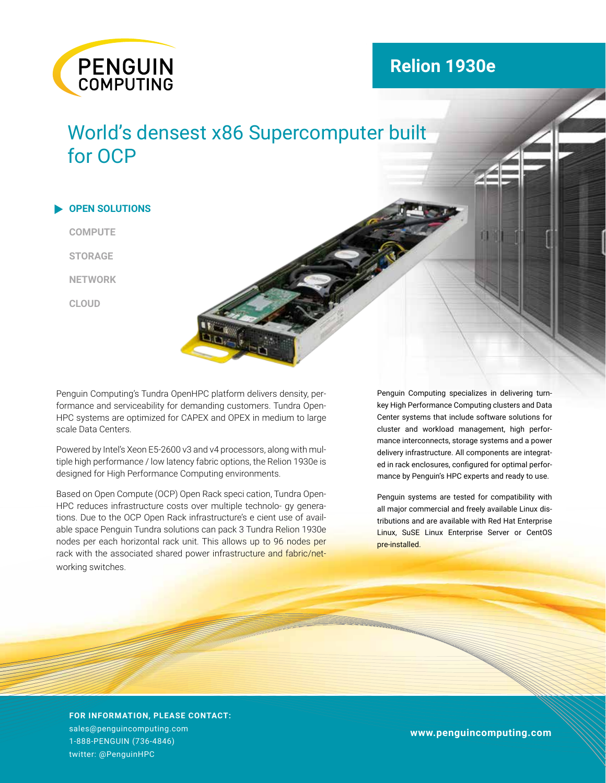

# **Relion 1930e**

# World's densest x86 Supercomputer built for OCP

**OPEN SOLUTIONS COMPUTE STORAGE NETWORK CLOUD**  $\blacktriangleright$ 

scale Data Centers.

Penguin Computing's Tundra OpenHPC platform delivers density, performance and serviceability for demanding customers. Tundra Open-HPC systems are optimized for CAPEX and OPEX in medium to large

Powered by Intel's Xeon E5-2600 v3 and v4 processors, along with multiple high performance / low latency fabric options, the Relion 1930e is designed for High Performance Computing environments.

Based on Open Compute (OCP) Open Rack speci cation, Tundra Open-HPC reduces infrastructure costs over multiple technolo- gy generations. Due to the OCP Open Rack infrastructure's e cient use of available space Penguin Tundra solutions can pack 3 Tundra Relion 1930e nodes per each horizontal rack unit. This allows up to 96 nodes per rack with the associated shared power infrastructure and fabric/networking switches.

Penguin Computing specializes in delivering turnkey High Performance Computing clusters and Data Center systems that include software solutions for cluster and workload management, high performance interconnects, storage systems and a power delivery infrastructure. All components are integrated in rack enclosures, configured for optimal performance by Penguin's HPC experts and ready to use.

Penguin systems are tested for compatibility with all major commercial and freely available Linux distributions and are available with Red Hat Enterprise Linux, SuSE Linux Enterprise Server or CentOS pre-installed.

**FOR INFORMATION, PLEASE CONTACT:**  sales@penguincomputing.com 1-888-PENGUIN (736-4846) twitter: @PenguinHPC

Penguin systems are tested for compatibility with all major commercial and freely available Linux distributions and **www.penguincomputing.com**